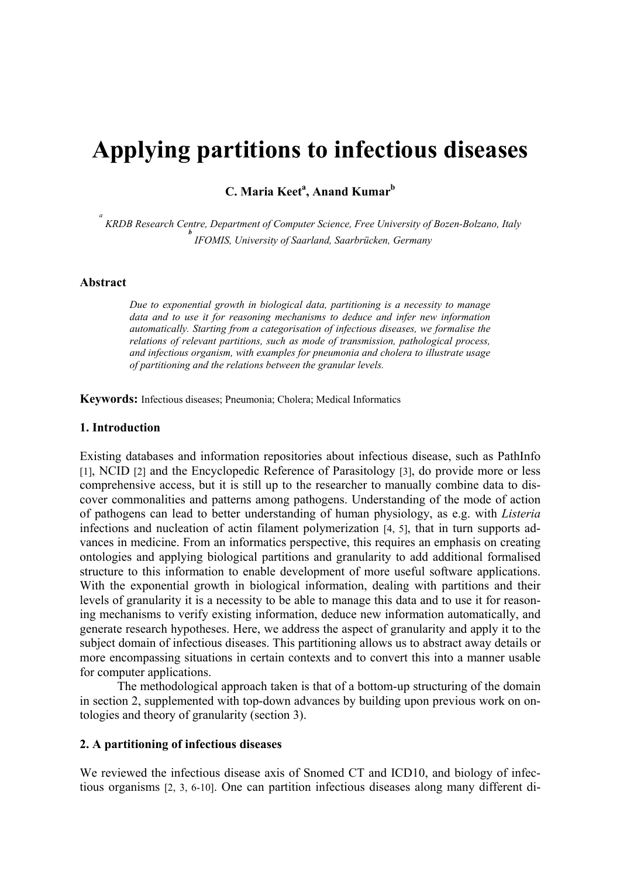# **Applying partitions to infectious diseases**

**C. Maria Keet<sup>a</sup>, Anand Kumar<sup>b</sup>** 

*a KRDB Research Centre, Department of Computer Science, Free University of Bozen-Bolzano, Italy <sup>b</sup> IFOMIS, University of Saarland, Saarbrücken, Germany*

### **Abstract**

*Due to exponential growth in biological data, partitioning is a necessity to manage data and to use it for reasoning mechanisms to deduce and infer new information automatically. Starting from a categorisation of infectious diseases, we formalise the relations of relevant partitions, such as mode of transmission, pathological process, and infectious organism, with examples for pneumonia and cholera to illustrate usage of partitioning and the relations between the granular levels.*

**Keywords:** Infectious diseases; Pneumonia; Cholera; Medical Informatics

#### **1. Introduction**

Existing databases and information repositories about infectious disease, such as PathInfo [1], NCID [2] and the Encyclopedic Reference of Parasitology [3], do provide more or less comprehensive access, but it is still up to the researcher to manually combine data to discover commonalities and patterns among pathogens. Understanding of the mode of action of pathogens can lead to better understanding of human physiology, as e.g. with *Listeria* infections and nucleation of actin filament polymerization [4, 5], that in turn supports advances in medicine. From an informatics perspective, this requires an emphasis on creating ontologies and applying biological partitions and granularity to add additional formalised structure to this information to enable development of more useful software applications. With the exponential growth in biological information, dealing with partitions and their levels of granularity it is a necessity to be able to manage this data and to use it for reasoning mechanisms to verify existing information, deduce new information automatically, and generate research hypotheses. Here, we address the aspect of granularity and apply it to the subject domain of infectious diseases. This partitioning allows us to abstract away details or more encompassing situations in certain contexts and to convert this into a manner usable for computer applications.

The methodological approach taken is that of a bottom-up structuring of the domain in section 2, supplemented with top-down advances by building upon previous work on ontologies and theory of granularity (section 3).

#### **2. A partitioning of infectious diseases**

We reviewed the infectious disease axis of Snomed CT and ICD10, and biology of infectious organisms [2, 3, 6-10]. One can partition infectious diseases along many different di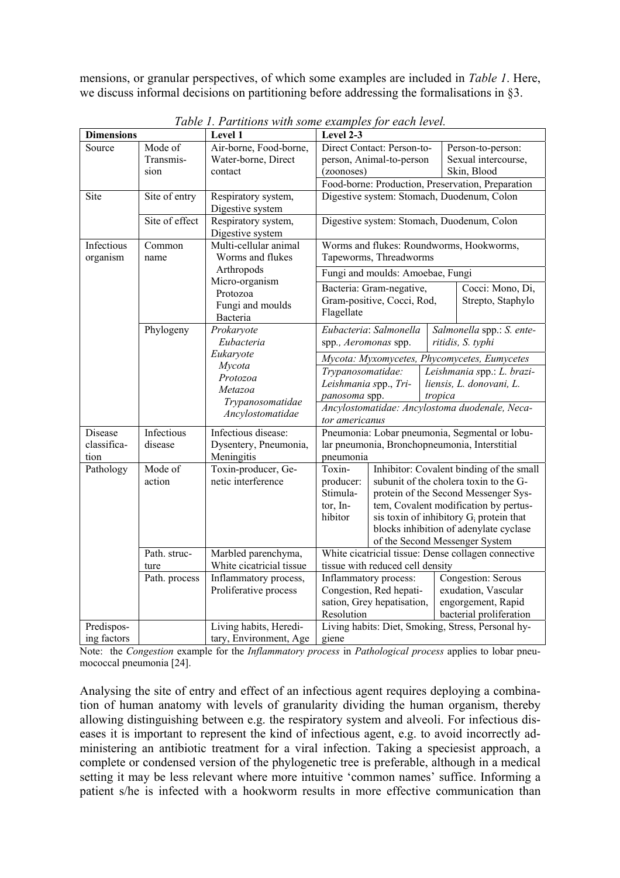mensions, or granular perspectives, of which some examples are included in *Table 1*. Here, we discuss informal decisions on partitioning before addressing the formalisations in §3.

| <b>Dimensions</b> |                | Level 1                                  | Level 2-3                                                                                |                                          |                                        |                                            |  |
|-------------------|----------------|------------------------------------------|------------------------------------------------------------------------------------------|------------------------------------------|----------------------------------------|--------------------------------------------|--|
| Source            | Mode of        | Air-borne, Food-borne,                   |                                                                                          | Direct Contact: Person-to-               |                                        | Person-to-person:                          |  |
|                   | Transmis-      | Water-borne, Direct                      |                                                                                          | person, Animal-to-person                 |                                        | Sexual intercourse,                        |  |
|                   | sion           | contact                                  | (zoonoses)                                                                               |                                          | Skin, Blood                            |                                            |  |
|                   |                |                                          | Food-borne: Production, Preservation, Preparation                                        |                                          |                                        |                                            |  |
| Site              | Site of entry  | Respiratory system,<br>Digestive system  | Digestive system: Stomach, Duodenum, Colon<br>Digestive system: Stomach, Duodenum, Colon |                                          |                                        |                                            |  |
|                   | Site of effect | Respiratory system,<br>Digestive system  |                                                                                          |                                          |                                        |                                            |  |
| Infectious        | Common         | Multi-cellular animal                    | Worms and flukes: Roundworms, Hookworms,                                                 |                                          |                                        |                                            |  |
| organism          | name           | Worms and flukes                         | Tapeworms, Threadworms                                                                   |                                          |                                        |                                            |  |
|                   |                | Arthropods<br>Micro-organism<br>Protozoa | Fungi and moulds: Amoebae, Fungi                                                         |                                          |                                        |                                            |  |
|                   |                |                                          | Cocci: Mono, Di,<br>Bacteria: Gram-negative,                                             |                                          |                                        |                                            |  |
|                   |                |                                          | Gram-positive, Cocci, Rod,<br>Strepto, Staphylo<br>Flagellate                            |                                          |                                        |                                            |  |
|                   |                | Fungi and moulds                         |                                                                                          |                                          |                                        |                                            |  |
|                   |                | Bacteria                                 |                                                                                          | Eubacteria: Salmonella                   |                                        |                                            |  |
|                   | Phylogeny      | Prokaryote<br>Eubacteria                 | spp., Aeromonas spp.                                                                     |                                          |                                        | Salmonella spp.: S. ente-                  |  |
|                   |                | Eukaryote                                |                                                                                          |                                          | ritidis, S. typhi                      |                                            |  |
|                   |                | Mycota                                   | Mycota: Myxomycetes, Phycomycetes, Eumycetes<br>Trypanosomatidae:                        |                                          |                                        |                                            |  |
|                   |                | Protozoa                                 |                                                                                          |                                          |                                        | Leishmania spp.: L. brazi-                 |  |
|                   |                | Metazoa                                  | Leishmania spp., Tri-<br>panosoma spp.                                                   |                                          |                                        | liensis, L. donovani, L.                   |  |
|                   |                | Trypanosomatidae                         |                                                                                          |                                          | tropica                                |                                            |  |
|                   |                | Ancylostomatidae                         | Ancylostomatidae: Ancylostoma duodenale, Neca-<br>tor americanus                         |                                          |                                        |                                            |  |
| Disease           | Infectious     | Infectious disease:                      | Pneumonia: Lobar pneumonia, Segmental or lobu-                                           |                                          |                                        |                                            |  |
| classifica-       | disease        | Dysentery, Pneumonia,                    | lar pneumonia, Bronchopneumonia, Interstitial                                            |                                          |                                        |                                            |  |
| tion              |                | Meningitis                               | pneumonia                                                                                |                                          |                                        |                                            |  |
| Pathology         | Mode of        | Toxin-producer, Ge-                      | Toxin-                                                                                   | Inhibitor: Covalent binding of the small |                                        |                                            |  |
|                   | action         | netic interference                       | producer:                                                                                |                                          | subunit of the cholera toxin to the G- |                                            |  |
|                   |                |                                          | Stimula-                                                                                 |                                          |                                        | protein of the Second Messenger Sys-       |  |
|                   |                |                                          | tor, In-                                                                                 |                                          |                                        | tem, Covalent modification by pertus-      |  |
|                   |                |                                          | hibitor                                                                                  |                                          |                                        | sis toxin of inhibitory $G_i$ protein that |  |
|                   |                |                                          |                                                                                          |                                          |                                        | blocks inhibition of adenylate cyclase     |  |
|                   | Path. struc-   | Marbled parenchyma,                      | of the Second Messenger System<br>White cicatricial tissue: Dense collagen connective    |                                          |                                        |                                            |  |
|                   | ture           | White cicatricial tissue                 | tissue with reduced cell density                                                         |                                          |                                        |                                            |  |
|                   | Path. process  | Inflammatory process,                    |                                                                                          | Inflammatory process:                    |                                        | Congestion: Serous                         |  |
|                   |                | Proliferative process                    |                                                                                          | Congestion, Red hepati-                  |                                        | exudation, Vascular                        |  |
|                   |                |                                          | sation, Grey hepatisation,<br>Resolution                                                 |                                          | engorgement, Rapid                     |                                            |  |
|                   |                |                                          |                                                                                          |                                          |                                        | bacterial proliferation                    |  |
| Predispos-        |                | Living habits, Heredi-                   | Living habits: Diet, Smoking, Stress, Personal hy-                                       |                                          |                                        |                                            |  |
| ing factors       |                | tary, Environment, Age                   | giene                                                                                    |                                          |                                        |                                            |  |

*Table 1. Partitions with some examples for each level.* 

Note: the *Congestion* example for the *Inflammatory process* in *Pathological process* applies to lobar pneumococcal pneumonia [24].

Analysing the site of entry and effect of an infectious agent requires deploying a combination of human anatomy with levels of granularity dividing the human organism, thereby allowing distinguishing between e.g. the respiratory system and alveoli. For infectious diseases it is important to represent the kind of infectious agent, e.g. to avoid incorrectly administering an antibiotic treatment for a viral infection. Taking a speciesist approach, a complete or condensed version of the phylogenetic tree is preferable, although in a medical setting it may be less relevant where more intuitive 'common names' suffice. Informing a patient s/he is infected with a hookworm results in more effective communication than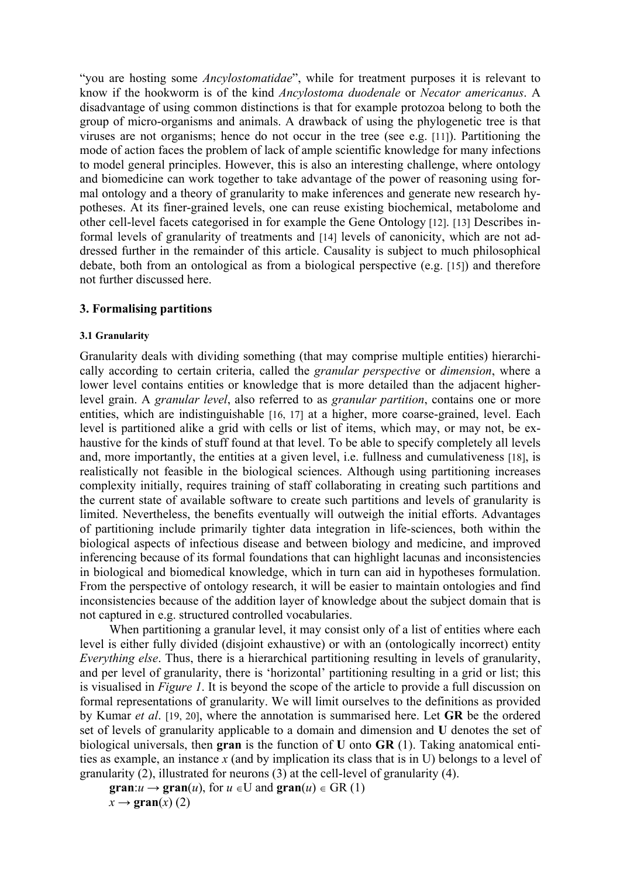"you are hosting some *Ancylostomatidae*", while for treatment purposes it is relevant to know if the hookworm is of the kind *Ancylostoma duodenale* or *Necator americanus*. A disadvantage of using common distinctions is that for example protozoa belong to both the group of micro-organisms and animals. A drawback of using the phylogenetic tree is that viruses are not organisms; hence do not occur in the tree (see e.g. [11]). Partitioning the mode of action faces the problem of lack of ample scientific knowledge for many infections to model general principles. However, this is also an interesting challenge, where ontology and biomedicine can work together to take advantage of the power of reasoning using formal ontology and a theory of granularity to make inferences and generate new research hypotheses. At its finer-grained levels, one can reuse existing biochemical, metabolome and other cell-level facets categorised in for example the Gene Ontology [12]. [13] Describes informal levels of granularity of treatments and [14] levels of canonicity, which are not addressed further in the remainder of this article. Causality is subject to much philosophical debate, both from an ontological as from a biological perspective (e.g. [15]) and therefore not further discussed here.

# **3. Formalising partitions**

## **3.1 Granularity**

Granularity deals with dividing something (that may comprise multiple entities) hierarchically according to certain criteria, called the *granular perspective* or *dimension*, where a lower level contains entities or knowledge that is more detailed than the adjacent higherlevel grain. A *granular level*, also referred to as *granular partition*, contains one or more entities, which are indistinguishable [16, 17] at a higher, more coarse-grained, level. Each level is partitioned alike a grid with cells or list of items, which may, or may not, be exhaustive for the kinds of stuff found at that level. To be able to specify completely all levels and, more importantly, the entities at a given level, i.e. fullness and cumulativeness [18], is realistically not feasible in the biological sciences. Although using partitioning increases complexity initially, requires training of staff collaborating in creating such partitions and the current state of available software to create such partitions and levels of granularity is limited. Nevertheless, the benefits eventually will outweigh the initial efforts. Advantages of partitioning include primarily tighter data integration in life-sciences, both within the biological aspects of infectious disease and between biology and medicine, and improved inferencing because of its formal foundations that can highlight lacunas and inconsistencies in biological and biomedical knowledge, which in turn can aid in hypotheses formulation. From the perspective of ontology research, it will be easier to maintain ontologies and find inconsistencies because of the addition layer of knowledge about the subject domain that is not captured in e.g. structured controlled vocabularies.

When partitioning a granular level, it may consist only of a list of entities where each level is either fully divided (disjoint exhaustive) or with an (ontologically incorrect) entity *Everything else*. Thus, there is a hierarchical partitioning resulting in levels of granularity, and per level of granularity, there is 'horizontal' partitioning resulting in a grid or list; this is visualised in *Figure 1*. It is beyond the scope of the article to provide a full discussion on formal representations of granularity. We will limit ourselves to the definitions as provided by Kumar *et al*. [19, 20], where the annotation is summarised here. Let **GR** be the ordered set of levels of granularity applicable to a domain and dimension and **U** denotes the set of biological universals, then **gran** is the function of **U** onto **GR** (1). Taking anatomical entities as example, an instance *x* (and by implication its class that is in U) belongs to a level of granularity (2), illustrated for neurons (3) at the cell-level of granularity (4).

**gran**: $u \rightarrow \text{gran}(u)$ , for  $u \in U$  and  $\text{gran}(u) \in \text{GR}(1)$  $x \rightarrow \text{gran}(x)$  (2)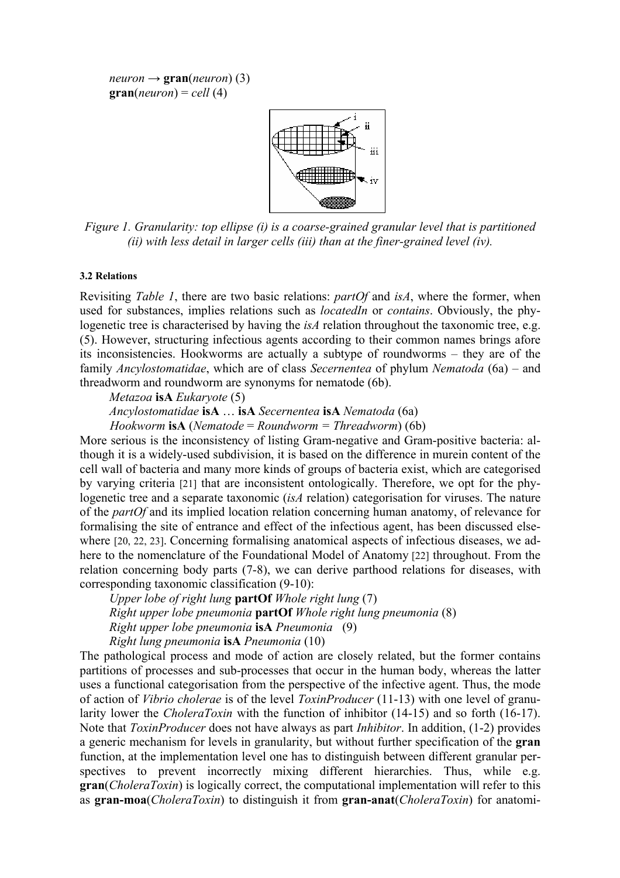$neuron \rightarrow \textbf{gran}(neuron)$  (3)  $\mathbf{gran}(neuron) = cell(4)$ 



*Figure 1. Granularity: top ellipse (i) is a coarse-grained granular level that is partitioned (ii) with less detail in larger cells (iii) than at the finer-grained level (iv).*

#### **3.2 Relations**

Revisiting *Table 1*, there are two basic relations: *partOf* and *isA*, where the former, when used for substances, implies relations such as *locatedIn* or *contains*. Obviously, the phylogenetic tree is characterised by having the *isA* relation throughout the taxonomic tree, e.g. (5). However, structuring infectious agents according to their common names brings afore its inconsistencies. Hookworms are actually a subtype of roundworms – they are of the family *Ancylostomatidae*, which are of class *Secernentea* of phylum *Nematoda* (6a) – and threadworm and roundworm are synonyms for nematode (6b).

*Metazoa* **isA** *Eukaryote* (5)

*Ancylostomatidae* **isA** … **isA** *Secernentea* **isA** *Nematoda* (6a)

*Hookworm* **isA** (*Nematode* = *Roundworm = Threadworm*) (6b)

More serious is the inconsistency of listing Gram-negative and Gram-positive bacteria: although it is a widely-used subdivision, it is based on the difference in murein content of the cell wall of bacteria and many more kinds of groups of bacteria exist, which are categorised by varying criteria [21] that are inconsistent ontologically. Therefore, we opt for the phylogenetic tree and a separate taxonomic (*isA* relation) categorisation for viruses. The nature of the *partOf* and its implied location relation concerning human anatomy, of relevance for formalising the site of entrance and effect of the infectious agent, has been discussed elsewhere [20, 22, 23]. Concerning formalising anatomical aspects of infectious diseases, we adhere to the nomenclature of the Foundational Model of Anatomy [22] throughout. From the relation concerning body parts (7-8), we can derive parthood relations for diseases, with corresponding taxonomic classification (9-10):

*Upper lobe of right lung* **partOf** *Whole right lung* (7) *Right upper lobe pneumonia* **partOf** *Whole right lung pneumonia* (8) *Right upper lobe pneumonia* **isA** *Pneumonia* (9) *Right lung pneumonia* **isA** *Pneumonia* (10)

The pathological process and mode of action are closely related, but the former contains partitions of processes and sub-processes that occur in the human body, whereas the latter uses a functional categorisation from the perspective of the infective agent. Thus, the mode of action of *Vibrio cholerae* is of the level *ToxinProducer* (11-13) with one level of granularity lower the *CholeraToxin* with the function of inhibitor (14-15) and so forth (16-17). Note that *ToxinProducer* does not have always as part *Inhibitor*. In addition, (1-2) provides a generic mechanism for levels in granularity, but without further specification of the **gran** function, at the implementation level one has to distinguish between different granular perspectives to prevent incorrectly mixing different hierarchies. Thus, while e.g. **gran**(*CholeraToxin*) is logically correct, the computational implementation will refer to this as **gran-moa**(*CholeraToxin*) to distinguish it from **gran-anat**(*CholeraToxin*) for anatomi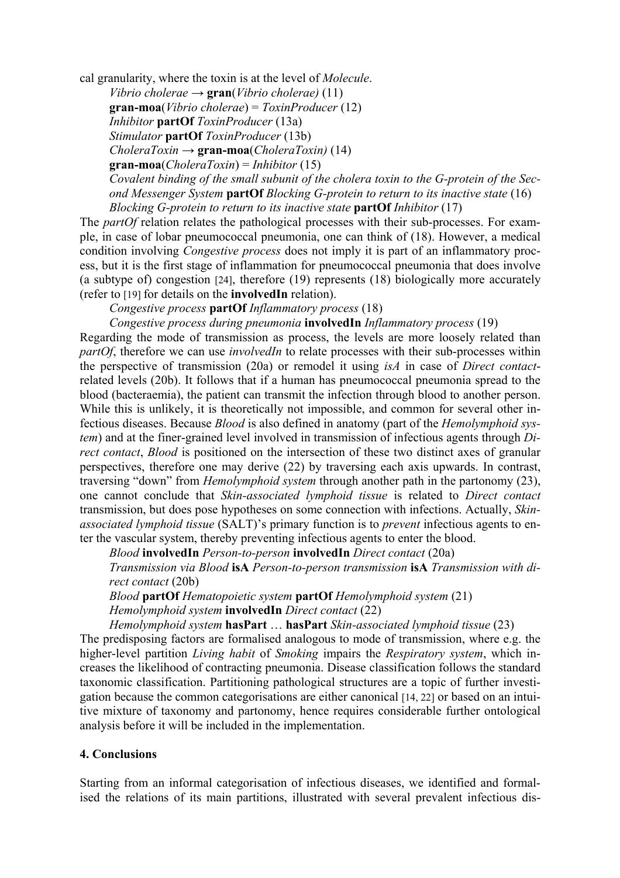cal granularity, where the toxin is at the level of *Molecule*.

*Vibrio cholerae*  $\rightarrow$  **gran**(*Vibrio cholerae*) (11) **gran-moa**(*Vibrio cholerae*) = *ToxinProducer* (12) *Inhibitor* **partOf** *ToxinProducer* (13a) *Stimulator* **partOf** *ToxinProducer* (13b) *CholeraToxin* → **gran-moa**(*CholeraToxin)* (14) **gran-moa**(*CholeraToxin*) = *Inhibitor* (15) *Covalent binding of the small subunit of the cholera toxin to the G-protein of the Second Messenger System* **partOf** *Blocking G-protein to return to its inactive state* (16) *Blocking G-protein to return to its inactive state* **partOf** *Inhibitor* (17)

The *partOf* relation relates the pathological processes with their sub-processes. For example, in case of lobar pneumococcal pneumonia, one can think of (18). However, a medical condition involving *Congestive process* does not imply it is part of an inflammatory process, but it is the first stage of inflammation for pneumococcal pneumonia that does involve (a subtype of) congestion [24], therefore (19) represents (18) biologically more accurately (refer to [19] for details on the **involvedIn** relation).

*Congestive process* **partOf** *Inflammatory process* (18)

*Congestive process during pneumonia* **involvedIn** *Inflammatory process* (19)

Regarding the mode of transmission as process, the levels are more loosely related than *partOf*, therefore we can use *involvedIn* to relate processes with their sub-processes within the perspective of transmission (20a) or remodel it using *isA* in case of *Direct contact*related levels (20b). It follows that if a human has pneumococcal pneumonia spread to the blood (bacteraemia), the patient can transmit the infection through blood to another person. While this is unlikely, it is theoretically not impossible, and common for several other infectious diseases. Because *Blood* is also defined in anatomy (part of the *Hemolymphoid system*) and at the finer-grained level involved in transmission of infectious agents through *Direct contact*, *Blood* is positioned on the intersection of these two distinct axes of granular perspectives, therefore one may derive (22) by traversing each axis upwards. In contrast, traversing "down" from *Hemolymphoid system* through another path in the partonomy (23), one cannot conclude that *Skin-associated lymphoid tissue* is related to *Direct contact* transmission, but does pose hypotheses on some connection with infections. Actually, *Skinassociated lymphoid tissue* (SALT)'s primary function is to *prevent* infectious agents to enter the vascular system, thereby preventing infectious agents to enter the blood.

*Blood* **involvedIn** *Person-to-person* **involvedIn** *Direct contact* (20a)

*Transmission via Blood* **isA** *Person-to-person transmission* **isA** *Transmission with direct contact* (20b)

*Blood* **partOf** *Hematopoietic system* **partOf** *Hemolymphoid system* (21) *Hemolymphoid system* **involvedIn** *Direct contact* (22)

*Hemolymphoid system* **hasPart** … **hasPart** *Skin-associated lymphoid tissue* (23)

The predisposing factors are formalised analogous to mode of transmission, where e.g. the higher-level partition *Living habit* of *Smoking* impairs the *Respiratory system*, which increases the likelihood of contracting pneumonia. Disease classification follows the standard taxonomic classification. Partitioning pathological structures are a topic of further investigation because the common categorisations are either canonical [14, 22] or based on an intuitive mixture of taxonomy and partonomy, hence requires considerable further ontological analysis before it will be included in the implementation.

# **4. Conclusions**

Starting from an informal categorisation of infectious diseases, we identified and formalised the relations of its main partitions, illustrated with several prevalent infectious dis